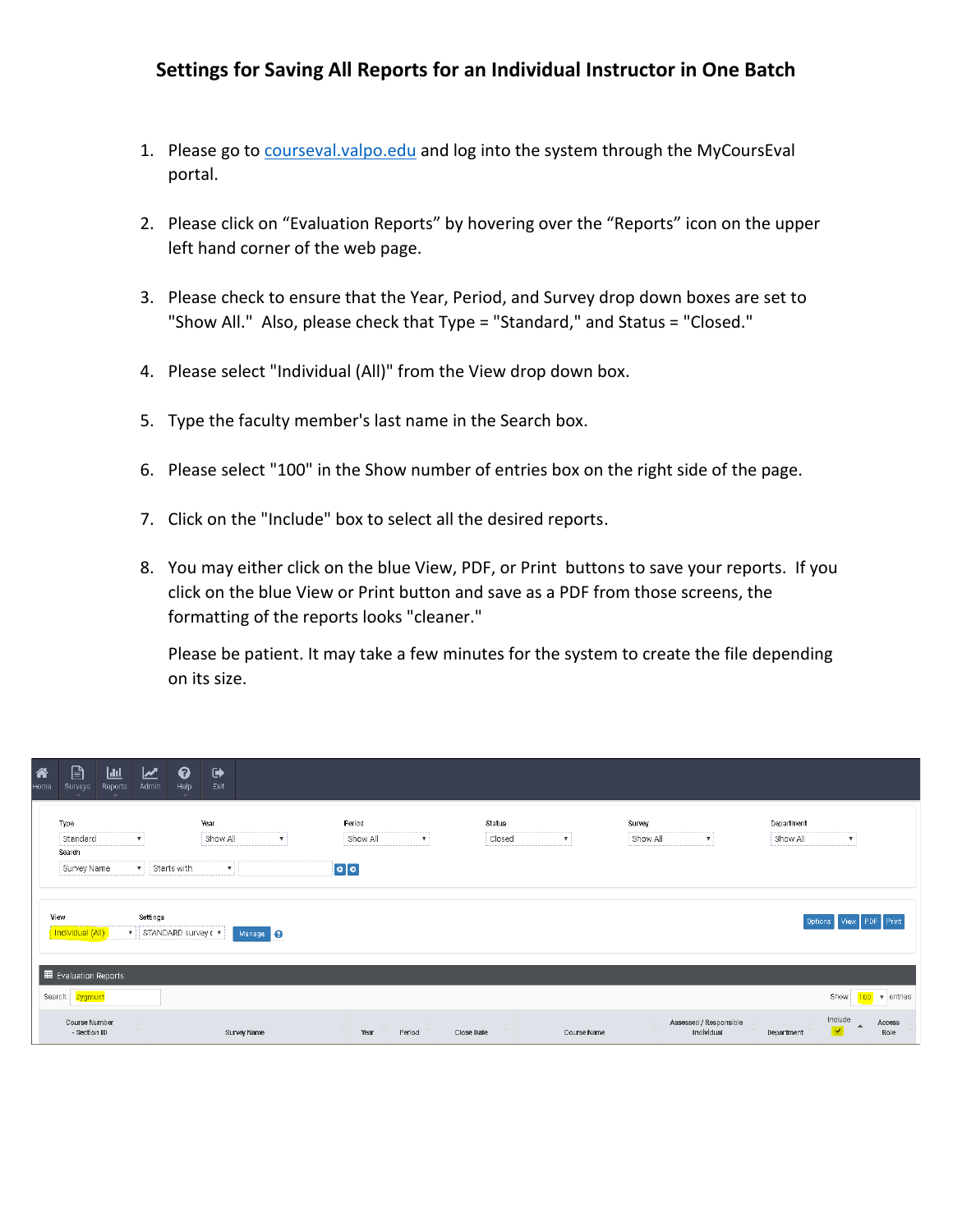## **Settings for Saving All Reports for an Individual Instructor in One Batch**

- 1. Please go to [courseval.valpo.edu](http://courseval.valpo.edu/) and log into the system through the MyCoursEval portal.
- 2. Please click on "Evaluation Reports" by hovering over the "Reports" icon on the upper left hand corner of the web page.
- 3. Please check to ensure that the Year, Period, and Survey drop down boxes are set to "Show All." Also, please check that Type = "Standard," and Status = "Closed."
- 4. Please select "Individual (All)" from the View drop down box.
- 5. Type the faculty member's last name in the Search box.
- 6. Please select "100" in the Show number of entries box on the right side of the page.
- 7. Click on the "Include" box to select all the desired reports.
- 8. You may either click on the blue View, PDF, or Print buttons to save your reports. If you click on the blue View or Print button and save as a PDF from those screens, the formatting of the reports looks "cleaner."

Please be patient. It may take a few minutes for the system to create the file depending on its size.

| 谷<br>Home | $\mathbb{B}$<br>Surveys<br>$\rightarrow$                       | $\mathbf{L}$<br>Reports       | $\overline{\mathbf{M}}$<br>Admin  | $\boldsymbol{\Theta}$<br>Help | $\ddot{\phantom{1}}$<br>Exit |                           |                         |                    |                           |            |                  |              |             |                    |                                      |                        |                      |                |
|-----------|----------------------------------------------------------------|-------------------------------|-----------------------------------|-------------------------------|------------------------------|---------------------------|-------------------------|--------------------|---------------------------|------------|------------------|--------------|-------------|--------------------|--------------------------------------|------------------------|----------------------|----------------|
|           | Type<br>Standard                                               |                               | $\mathbf{v}$                      |                               | Year<br>Show All             | $\boldsymbol{\mathrm{v}}$ |                         | Period<br>Show All | $\boldsymbol{\mathrm{v}}$ |            | Status<br>Closed | $\mathbf{v}$ |             | Survey<br>Show All | ▼                                    | Department<br>Show All | $\mathbf{v}$         |                |
|           | Search<br>$\bullet$ Starts with<br>Survey Name<br>$\mathbf{v}$ |                               |                                   |                               |                              |                           | $\boxed{\circ   \circ}$ |                    |                           |            |                  |              |             |                    |                                      |                        |                      |                |
|           | View<br>Individual (All)                                       |                               | Settings<br>▼ STANDARD survey c ▼ |                               |                              | Manage ?                  |                         |                    |                           |            |                  |              |             |                    |                                      |                        | Options View         | Print          |
|           | Search: Zygmunt                                                | Evaluation Reports            |                                   |                               |                              |                           |                         |                    |                           |            |                  |              |             |                    |                                      |                        | Show                 | 100 v entries  |
|           |                                                                | Course Number<br>- Section ID | $\wedge$<br>$\vee$                |                               |                              | Survey Name               | $\Diamond$              | $\circ$<br>Year    | $\sim$ $\sim$<br>Period   | Close Date | $\wedge$         |              | Course Name | $\wedge$           | Assessed / Responsible<br>Individual | Department             | Include<br>$\bullet$ | Access<br>Role |